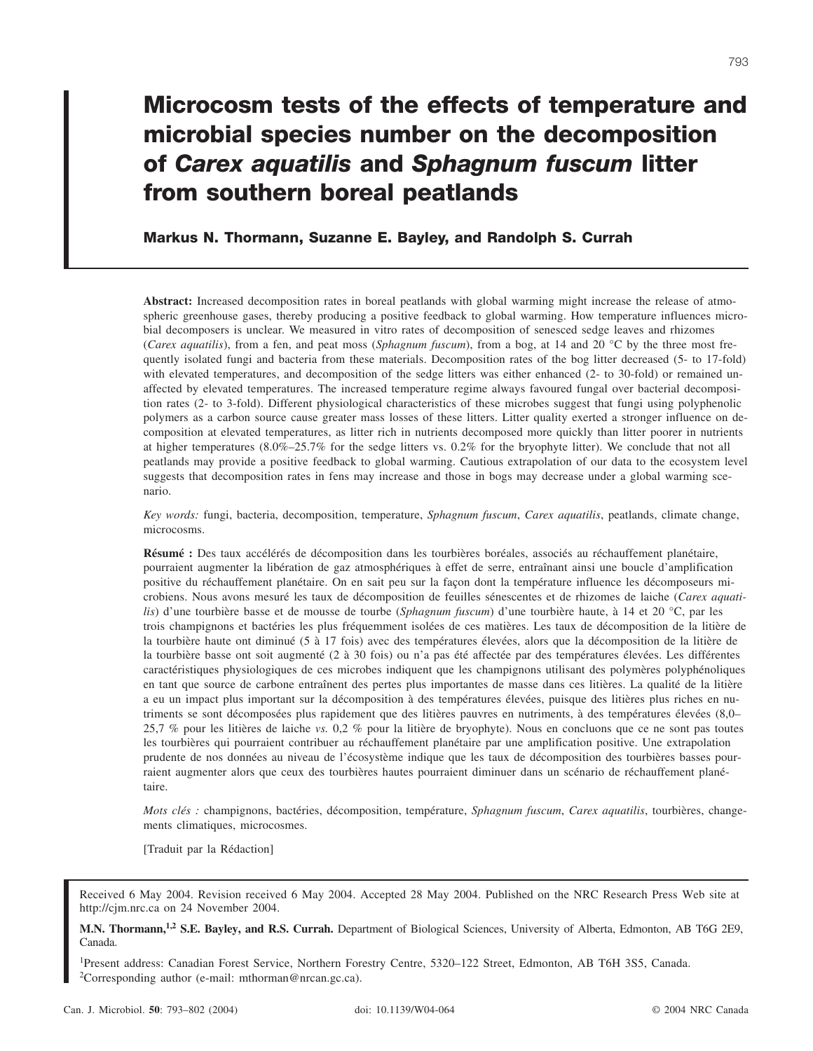# **Microcosm tests of the effects of temperature and microbial species number on the decomposition of** *Carex aquatilis* **and** *Sphagnum fuscum* **litter from southern boreal peatlands**

**Markus N. Thormann, Suzanne E. Bayley, and Randolph S. Currah**

**Abstract:** Increased decomposition rates in boreal peatlands with global warming might increase the release of atmospheric greenhouse gases, thereby producing a positive feedback to global warming. How temperature influences microbial decomposers is unclear. We measured in vitro rates of decomposition of senesced sedge leaves and rhizomes (*Carex aquatilis*), from a fen, and peat moss (*Sphagnum fuscum*), from a bog, at 14 and 20 °C by the three most frequently isolated fungi and bacteria from these materials. Decomposition rates of the bog litter decreased (5- to 17-fold) with elevated temperatures, and decomposition of the sedge litters was either enhanced (2- to 30-fold) or remained unaffected by elevated temperatures. The increased temperature regime always favoured fungal over bacterial decomposition rates (2- to 3-fold). Different physiological characteristics of these microbes suggest that fungi using polyphenolic polymers as a carbon source cause greater mass losses of these litters. Litter quality exerted a stronger influence on decomposition at elevated temperatures, as litter rich in nutrients decomposed more quickly than litter poorer in nutrients at higher temperatures (8.0%–25.7% for the sedge litters vs. 0.2% for the bryophyte litter). We conclude that not all peatlands may provide a positive feedback to global warming. Cautious extrapolation of our data to the ecosystem level suggests that decomposition rates in fens may increase and those in bogs may decrease under a global warming scenario.

*Key words:* fungi, bacteria, decomposition, temperature, *Sphagnum fuscum*, *Carex aquatilis*, peatlands, climate change, microcosms.

**Résumé :** Des taux accélérés de décomposition dans les tourbières boréales, associés au réchauffement planétaire, pourraient augmenter la libération de gaz atmosphériques à effet de serre, entraînant ainsi une boucle d'amplification positive du réchauffement planétaire. On en sait peu sur la façon dont la température influence les décomposeurs microbiens. Nous avons mesuré les taux de décomposition de feuilles sénescentes et de rhizomes de laiche (*Carex aquatilis*) d'une tourbière basse et de mousse de tourbe (*Sphagnum fuscum*) d'une tourbière haute, à 14 et 20 °C, par les trois champignons et bactéries les plus fréquemment isolées de ces matières. Les taux de décomposition de la litière de la tourbière haute ont diminué (5 à 17 fois) avec des températures élevées, alors que la décomposition de la litière de la tourbière basse ont soit augmenté (2 à 30 fois) ou n'a pas été affectée par des températures élevées. Les différentes caractéristiques physiologiques de ces microbes indiquent que les champignons utilisant des polymères polyphénoliques en tant que source de carbone entraînent des pertes plus importantes de masse dans ces litières. La qualité de la litière a eu un impact plus important sur la décomposition à des températures élevées, puisque des litières plus riches en nutriments se sont décomposées plus rapidement que des litières pauvres en nutriments, à des températures élevées (8,0– 25,7 % pour les litières de laiche *vs.* 0,2 % pour la litière de bryophyte). Nous en concluons que ce ne sont pas toutes les tourbières qui pourraient contribuer au réchauffement planétaire par une amplification positive. Une extrapolation prudente de nos données au niveau de l'écosystème indique que les taux de décomposition des tourbières basses pourraient augmenter alors que ceux des tourbières hautes pourraient diminuer dans un scénario de réchauffement planétaire.

*Mots clés :* champignons, bactéries, décomposition, température, *Sphagnum fuscum*, *Carex aquatilis*, tourbières, changements climatiques, microcosmes.

[Traduit par la Rédaction]

Received 6 May 2004. Revision received 6 May 2004. Accepted 28 May 2004. Published on the NRC Research Press Web site at http://cjm.nrc.ca on 24 November 2004.

**M.N. Thormann,1,2 S.E. Bayley, and R.S. Currah.** Department of Biological Sciences, University of Alberta, Edmonton, AB T6G 2E9, Canada.

1 Present address: Canadian Forest Service, Northern Forestry Centre, 5320–122 Street, Edmonton, AB T6H 3S5, Canada. 2 Corresponding author (e-mail: mthorman@nrcan.gc.ca).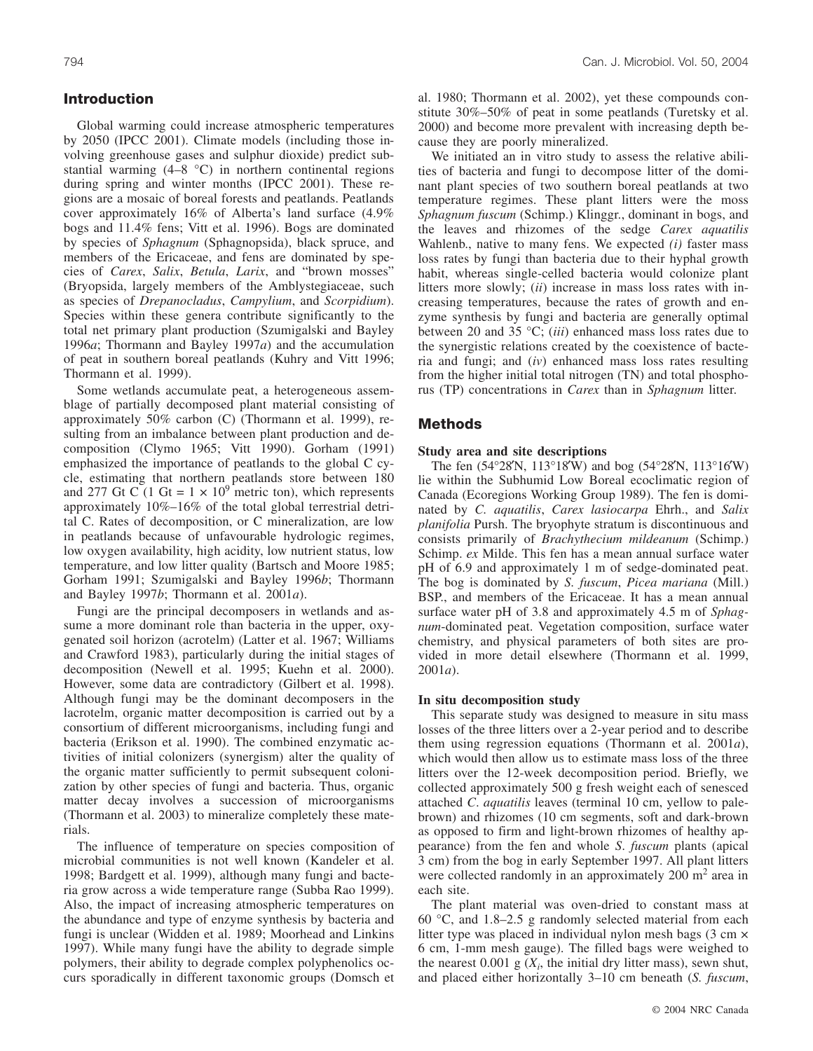# **Introduction**

Global warming could increase atmospheric temperatures by 2050 (IPCC 2001). Climate models (including those involving greenhouse gases and sulphur dioxide) predict substantial warming (4–8 °C) in northern continental regions during spring and winter months (IPCC 2001). These regions are a mosaic of boreal forests and peatlands. Peatlands cover approximately 16% of Alberta's land surface (4.9% bogs and 11.4% fens; Vitt et al. 1996). Bogs are dominated by species of *Sphagnum* (Sphagnopsida), black spruce, and members of the Ericaceae, and fens are dominated by species of *Carex*, *Salix*, *Betula*, *Larix*, and "brown mosses" (Bryopsida, largely members of the Amblystegiaceae, such as species of *Drepanocladus*, *Campylium*, and *Scorpidium*). Species within these genera contribute significantly to the total net primary plant production (Szumigalski and Bayley 1996*a*; Thormann and Bayley 1997*a*) and the accumulation of peat in southern boreal peatlands (Kuhry and Vitt 1996; Thormann et al. 1999).

Some wetlands accumulate peat, a heterogeneous assemblage of partially decomposed plant material consisting of approximately 50% carbon (C) (Thormann et al. 1999), resulting from an imbalance between plant production and decomposition (Clymo 1965; Vitt 1990). Gorham (1991) emphasized the importance of peatlands to the global C cycle, estimating that northern peatlands store between 180 and 277 Gt C (1 Gt =  $1 \times 10^9$  metric ton), which represents approximately 10%–16% of the total global terrestrial detrital C. Rates of decomposition, or C mineralization, are low in peatlands because of unfavourable hydrologic regimes, low oxygen availability, high acidity, low nutrient status, low temperature, and low litter quality (Bartsch and Moore 1985; Gorham 1991; Szumigalski and Bayley 1996*b*; Thormann and Bayley 1997*b*; Thormann et al. 2001*a*).

Fungi are the principal decomposers in wetlands and assume a more dominant role than bacteria in the upper, oxygenated soil horizon (acrotelm) (Latter et al. 1967; Williams and Crawford 1983), particularly during the initial stages of decomposition (Newell et al. 1995; Kuehn et al. 2000). However, some data are contradictory (Gilbert et al. 1998). Although fungi may be the dominant decomposers in the lacrotelm, organic matter decomposition is carried out by a consortium of different microorganisms, including fungi and bacteria (Erikson et al. 1990). The combined enzymatic activities of initial colonizers (synergism) alter the quality of the organic matter sufficiently to permit subsequent colonization by other species of fungi and bacteria. Thus, organic matter decay involves a succession of microorganisms (Thormann et al. 2003) to mineralize completely these materials.

The influence of temperature on species composition of microbial communities is not well known (Kandeler et al. 1998; Bardgett et al. 1999), although many fungi and bacteria grow across a wide temperature range (Subba Rao 1999). Also, the impact of increasing atmospheric temperatures on the abundance and type of enzyme synthesis by bacteria and fungi is unclear (Widden et al. 1989; Moorhead and Linkins 1997). While many fungi have the ability to degrade simple polymers, their ability to degrade complex polyphenolics occurs sporadically in different taxonomic groups (Domsch et

al. 1980; Thormann et al. 2002), yet these compounds constitute 30%–50% of peat in some peatlands (Turetsky et al. 2000) and become more prevalent with increasing depth because they are poorly mineralized.

We initiated an in vitro study to assess the relative abilities of bacteria and fungi to decompose litter of the dominant plant species of two southern boreal peatlands at two temperature regimes. These plant litters were the moss *Sphagnum fuscum* (Schimp.) Klinggr., dominant in bogs, and the leaves and rhizomes of the sedge *Carex aquatilis* Wahlenb., native to many fens. We expected *(i)* faster mass loss rates by fungi than bacteria due to their hyphal growth habit, whereas single-celled bacteria would colonize plant litters more slowly; (*ii*) increase in mass loss rates with increasing temperatures, because the rates of growth and enzyme synthesis by fungi and bacteria are generally optimal between 20 and 35 °C; (*iii*) enhanced mass loss rates due to the synergistic relations created by the coexistence of bacteria and fungi; and (*iv*) enhanced mass loss rates resulting from the higher initial total nitrogen (TN) and total phosphorus (TP) concentrations in *Carex* than in *Sphagnum* litter.

## **Methods**

## **Study area and site descriptions**

The fen (54°28′N, 113°18′W) and bog (54°28′N, 113°16′W) lie within the Subhumid Low Boreal ecoclimatic region of Canada (Ecoregions Working Group 1989). The fen is dominated by *C. aquatilis*, *Carex lasiocarpa* Ehrh., and *Salix planifolia* Pursh. The bryophyte stratum is discontinuous and consists primarily of *Brachythecium mildeanum* (Schimp.) Schimp. *ex* Milde. This fen has a mean annual surface water pH of 6.9 and approximately 1 m of sedge-dominated peat. The bog is dominated by *S. fuscum*, *Picea mariana* (Mill.) BSP., and members of the Ericaceae. It has a mean annual surface water pH of 3.8 and approximately 4.5 m of *Sphagnum*-dominated peat. Vegetation composition, surface water chemistry, and physical parameters of both sites are provided in more detail elsewhere (Thormann et al. 1999, 2001*a*).

#### **In situ decomposition study**

This separate study was designed to measure in situ mass losses of the three litters over a 2-year period and to describe them using regression equations (Thormann et al. 2001*a*), which would then allow us to estimate mass loss of the three litters over the 12-week decomposition period. Briefly, we collected approximately 500 g fresh weight each of senesced attached *C*. *aquatilis* leaves (terminal 10 cm, yellow to palebrown) and rhizomes (10 cm segments, soft and dark-brown as opposed to firm and light-brown rhizomes of healthy appearance) from the fen and whole *S*. *fuscum* plants (apical 3 cm) from the bog in early September 1997. All plant litters were collected randomly in an approximately  $200 \text{ m}^2$  area in each site.

The plant material was oven-dried to constant mass at 60 °C, and 1.8–2.5 g randomly selected material from each litter type was placed in individual nylon mesh bags  $(3 \text{ cm} \times$ 6 cm, 1-mm mesh gauge). The filled bags were weighed to the nearest  $0.001 \text{ g}$  ( $X_i$ , the initial dry litter mass), sewn shut, and placed either horizontally 3–10 cm beneath (*S. fuscum*,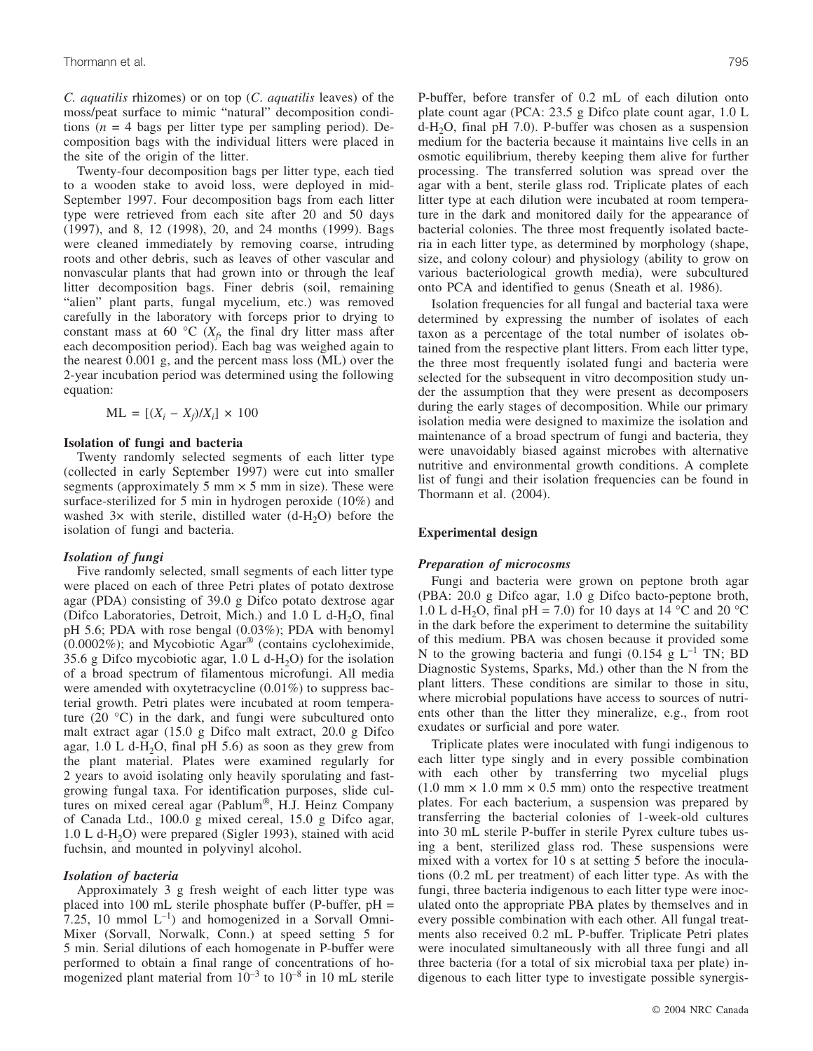*C. aquatilis* rhizomes) or on top (*C*. *aquatilis* leaves) of the moss/peat surface to mimic "natural" decomposition conditions ( $n = 4$  bags per litter type per sampling period). Decomposition bags with the individual litters were placed in the site of the origin of the litter.

Twenty-four decomposition bags per litter type, each tied to a wooden stake to avoid loss, were deployed in mid-September 1997. Four decomposition bags from each litter type were retrieved from each site after 20 and 50 days (1997), and 8, 12 (1998), 20, and 24 months (1999). Bags were cleaned immediately by removing coarse, intruding roots and other debris, such as leaves of other vascular and nonvascular plants that had grown into or through the leaf litter decomposition bags. Finer debris (soil, remaining "alien" plant parts, fungal mycelium, etc.) was removed carefully in the laboratory with forceps prior to drying to constant mass at 60  $\rm{^{\circ}C}$  ( $X_f$ , the final dry litter mass after each decomposition period). Each bag was weighed again to the nearest 0.001 g, and the percent mass loss (ML) over the 2-year incubation period was determined using the following equation:

$$
ML = [(X_i - X_f)/X_i] \times 100
$$

## **Isolation of fungi and bacteria**

Twenty randomly selected segments of each litter type (collected in early September 1997) were cut into smaller segments (approximately 5 mm  $\times$  5 mm in size). These were surface-sterilized for 5 min in hydrogen peroxide (10%) and washed  $3x$  with sterile, distilled water  $(d-H<sub>2</sub>O)$  before the isolation of fungi and bacteria.

#### *Isolation of fungi*

Five randomly selected, small segments of each litter type were placed on each of three Petri plates of potato dextrose agar (PDA) consisting of 39.0 g Difco potato dextrose agar (Difco Laboratories, Detroit, Mich.) and  $1.0$  L d-H<sub>2</sub>O, final pH 5.6; PDA with rose bengal (0.03%); PDA with benomyl (0.0002%); and Mycobiotic Agar® (contains cycloheximide, 35.6 g Difco mycobiotic agar,  $1.0$  L d-H<sub>2</sub>O) for the isolation of a broad spectrum of filamentous microfungi. All media were amended with oxytetracycline (0.01%) to suppress bacterial growth. Petri plates were incubated at room temperature (20 °C) in the dark, and fungi were subcultured onto malt extract agar (15.0 g Difco malt extract, 20.0 g Difco agar,  $1.0$  L d-H<sub>2</sub>O, final pH 5.6) as soon as they grew from the plant material. Plates were examined regularly for 2 years to avoid isolating only heavily sporulating and fastgrowing fungal taxa. For identification purposes, slide cultures on mixed cereal agar (Pablum®, H.J. Heinz Company of Canada Ltd., 100.0 g mixed cereal, 15.0 g Difco agar, 1.0 L d-H<sub>2</sub>O) were prepared (Sigler 1993), stained with acid fuchsin, and mounted in polyvinyl alcohol.

### *Isolation of bacteria*

Approximately 3 g fresh weight of each litter type was placed into 100 mL sterile phosphate buffer (P-buffer, pH = 7.25, 10 mmol  $L^{-1}$ ) and homogenized in a Sorvall Omni-Mixer (Sorvall, Norwalk, Conn.) at speed setting 5 for 5 min. Serial dilutions of each homogenate in P-buffer were performed to obtain a final range of concentrations of homogenized plant material from  $10^{-3}$  to  $10^{-8}$  in 10 mL sterile P-buffer, before transfer of 0.2 mL of each dilution onto plate count agar (PCA: 23.5 g Difco plate count agar, 1.0 L d-H2O, final pH 7.0). P-buffer was chosen as a suspension medium for the bacteria because it maintains live cells in an osmotic equilibrium, thereby keeping them alive for further processing. The transferred solution was spread over the agar with a bent, sterile glass rod. Triplicate plates of each litter type at each dilution were incubated at room temperature in the dark and monitored daily for the appearance of bacterial colonies. The three most frequently isolated bacteria in each litter type, as determined by morphology (shape, size, and colony colour) and physiology (ability to grow on various bacteriological growth media), were subcultured onto PCA and identified to genus (Sneath et al. 1986).

Isolation frequencies for all fungal and bacterial taxa were determined by expressing the number of isolates of each taxon as a percentage of the total number of isolates obtained from the respective plant litters. From each litter type, the three most frequently isolated fungi and bacteria were selected for the subsequent in vitro decomposition study under the assumption that they were present as decomposers during the early stages of decomposition. While our primary isolation media were designed to maximize the isolation and maintenance of a broad spectrum of fungi and bacteria, they were unavoidably biased against microbes with alternative nutritive and environmental growth conditions. A complete list of fungi and their isolation frequencies can be found in Thormann et al. (2004).

## **Experimental design**

#### *Preparation of microcosms*

Fungi and bacteria were grown on peptone broth agar (PBA: 20.0 g Difco agar, 1.0 g Difco bacto-peptone broth, 1.0 L d-H<sub>2</sub>O, final pH = 7.0) for 10 days at 14 °C and 20 °C in the dark before the experiment to determine the suitability of this medium. PBA was chosen because it provided some N to the growing bacteria and fungi (0.154 g  $L^{-1}$  TN; BD Diagnostic Systems, Sparks, Md.) other than the N from the plant litters. These conditions are similar to those in situ, where microbial populations have access to sources of nutrients other than the litter they mineralize, e.g., from root exudates or surficial and pore water.

Triplicate plates were inoculated with fungi indigenous to each litter type singly and in every possible combination with each other by transferring two mycelial plugs  $(1.0 \text{ mm} \times 1.0 \text{ mm} \times 0.5 \text{ mm})$  onto the respective treatment plates. For each bacterium, a suspension was prepared by transferring the bacterial colonies of 1-week-old cultures into 30 mL sterile P-buffer in sterile Pyrex culture tubes using a bent, sterilized glass rod. These suspensions were mixed with a vortex for 10 s at setting 5 before the inoculations (0.2 mL per treatment) of each litter type. As with the fungi, three bacteria indigenous to each litter type were inoculated onto the appropriate PBA plates by themselves and in every possible combination with each other. All fungal treatments also received 0.2 mL P-buffer. Triplicate Petri plates were inoculated simultaneously with all three fungi and all three bacteria (for a total of six microbial taxa per plate) indigenous to each litter type to investigate possible synergis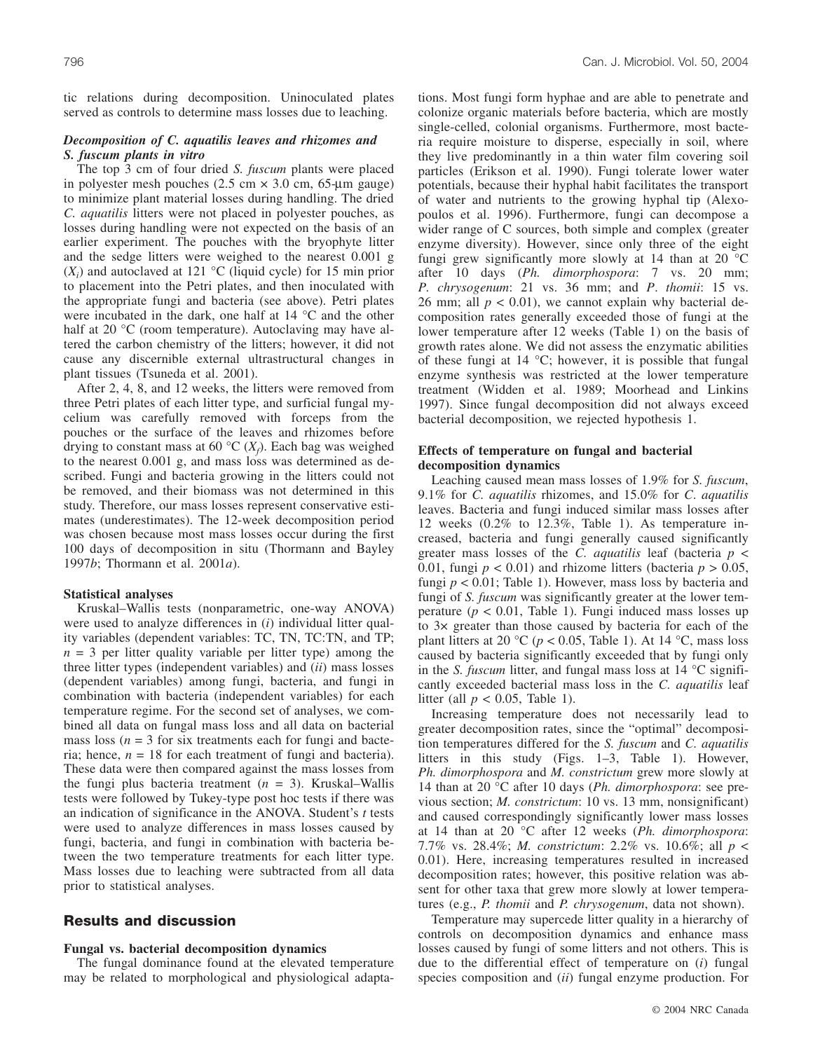tic relations during decomposition. Uninoculated plates served as controls to determine mass losses due to leaching.

## *Decomposition of C. aquatilis leaves and rhizomes and S. fuscum plants in vitro*

The top 3 cm of four dried *S. fuscum* plants were placed in polyester mesh pouches  $(2.5 \text{ cm} \times 3.0 \text{ cm}, 65 \text{-} \mu \text{m} \text{ gauge})$ to minimize plant material losses during handling. The dried *C. aquatilis* litters were not placed in polyester pouches, as losses during handling were not expected on the basis of an earlier experiment. The pouches with the bryophyte litter and the sedge litters were weighed to the nearest 0.001 g  $(X_i)$  and autoclaved at 121 °C (liquid cycle) for 15 min prior to placement into the Petri plates, and then inoculated with the appropriate fungi and bacteria (see above). Petri plates were incubated in the dark, one half at 14 °C and the other half at 20 °C (room temperature). Autoclaving may have altered the carbon chemistry of the litters; however, it did not cause any discernible external ultrastructural changes in plant tissues (Tsuneda et al. 2001).

After 2, 4, 8, and 12 weeks, the litters were removed from three Petri plates of each litter type, and surficial fungal mycelium was carefully removed with forceps from the pouches or the surface of the leaves and rhizomes before drying to constant mass at 60  $\rm{^{\circ}C}$  ( $X_f$ ). Each bag was weighed to the nearest 0.001 g, and mass loss was determined as described. Fungi and bacteria growing in the litters could not be removed, and their biomass was not determined in this study. Therefore, our mass losses represent conservative estimates (underestimates). The 12-week decomposition period was chosen because most mass losses occur during the first 100 days of decomposition in situ (Thormann and Bayley 1997*b*; Thormann et al. 2001*a*).

#### **Statistical analyses**

Kruskal–Wallis tests (nonparametric, one-way ANOVA) were used to analyze differences in (*i*) individual litter quality variables (dependent variables: TC, TN, TC:TN, and TP;  $n = 3$  per litter quality variable per litter type) among the three litter types (independent variables) and (*ii*) mass losses (dependent variables) among fungi, bacteria, and fungi in combination with bacteria (independent variables) for each temperature regime. For the second set of analyses, we combined all data on fungal mass loss and all data on bacterial mass loss ( $n = 3$  for six treatments each for fungi and bacteria; hence,  $n = 18$  for each treatment of fungi and bacteria). These data were then compared against the mass losses from the fungi plus bacteria treatment (*n* = 3). Kruskal–Wallis tests were followed by Tukey-type post hoc tests if there was an indication of significance in the ANOVA. Student's *t* tests were used to analyze differences in mass losses caused by fungi, bacteria, and fungi in combination with bacteria between the two temperature treatments for each litter type. Mass losses due to leaching were subtracted from all data prior to statistical analyses.

## **Results and discussion**

#### **Fungal vs. bacterial decomposition dynamics**

The fungal dominance found at the elevated temperature may be related to morphological and physiological adaptations. Most fungi form hyphae and are able to penetrate and colonize organic materials before bacteria, which are mostly single-celled, colonial organisms. Furthermore, most bacteria require moisture to disperse, especially in soil, where they live predominantly in a thin water film covering soil particles (Erikson et al. 1990). Fungi tolerate lower water potentials, because their hyphal habit facilitates the transport of water and nutrients to the growing hyphal tip (Alexopoulos et al. 1996). Furthermore, fungi can decompose a wider range of C sources, both simple and complex (greater enzyme diversity). However, since only three of the eight fungi grew significantly more slowly at 14 than at 20 °C after 10 days (*Ph. dimorphospora*: 7 vs. 20 mm; *P. chrysogenum*: 21 vs. 36 mm; and *P*. *thomii*: 15 vs. 26 mm; all  $p < 0.01$ ), we cannot explain why bacterial decomposition rates generally exceeded those of fungi at the lower temperature after 12 weeks (Table 1) on the basis of growth rates alone. We did not assess the enzymatic abilities of these fungi at 14 °C; however, it is possible that fungal enzyme synthesis was restricted at the lower temperature treatment (Widden et al. 1989; Moorhead and Linkins 1997). Since fungal decomposition did not always exceed bacterial decomposition, we rejected hypothesis 1.

## **Effects of temperature on fungal and bacterial decomposition dynamics**

Leaching caused mean mass losses of 1.9% for *S. fuscum*, 9.1% for *C. aquatilis* rhizomes, and 15.0% for *C*. *aquatilis* leaves. Bacteria and fungi induced similar mass losses after 12 weeks (0.2% to 12.3%, Table 1). As temperature increased, bacteria and fungi generally caused significantly greater mass losses of the *C. aquatilis* leaf (bacteria *p* < 0.01, fungi  $p < 0.01$ ) and rhizome litters (bacteria  $p > 0.05$ , fungi  $p < 0.01$ ; Table 1). However, mass loss by bacteria and fungi of *S. fuscum* was significantly greater at the lower temperature ( $p < 0.01$ , Table 1). Fungi induced mass losses up to 3× greater than those caused by bacteria for each of the plant litters at 20 °C ( $p < 0.05$ , Table 1). At 14 °C, mass loss caused by bacteria significantly exceeded that by fungi only in the *S. fuscum* litter, and fungal mass loss at 14 °C significantly exceeded bacterial mass loss in the *C. aquatilis* leaf litter (all  $p < 0.05$ , Table 1).

Increasing temperature does not necessarily lead to greater decomposition rates, since the "optimal" decomposition temperatures differed for the *S. fuscum* and *C. aquatilis* litters in this study (Figs. 1–3, Table 1). However, *Ph. dimorphospora* and *M. constrictum* grew more slowly at 14 than at 20 °C after 10 days (*Ph. dimorphospora*: see previous section; *M. constrictum*: 10 vs. 13 mm, nonsignificant) and caused correspondingly significantly lower mass losses at 14 than at 20 °C after 12 weeks (*Ph. dimorphospora*: 7.7% vs. 28.4%; *M. constrictum*: 2.2% vs. 10.6%; all *p* < 0.01). Here, increasing temperatures resulted in increased decomposition rates; however, this positive relation was absent for other taxa that grew more slowly at lower temperatures (e.g., *P. thomii* and *P. chrysogenum*, data not shown).

Temperature may supercede litter quality in a hierarchy of controls on decomposition dynamics and enhance mass losses caused by fungi of some litters and not others. This is due to the differential effect of temperature on (*i*) fungal species composition and (*ii*) fungal enzyme production. For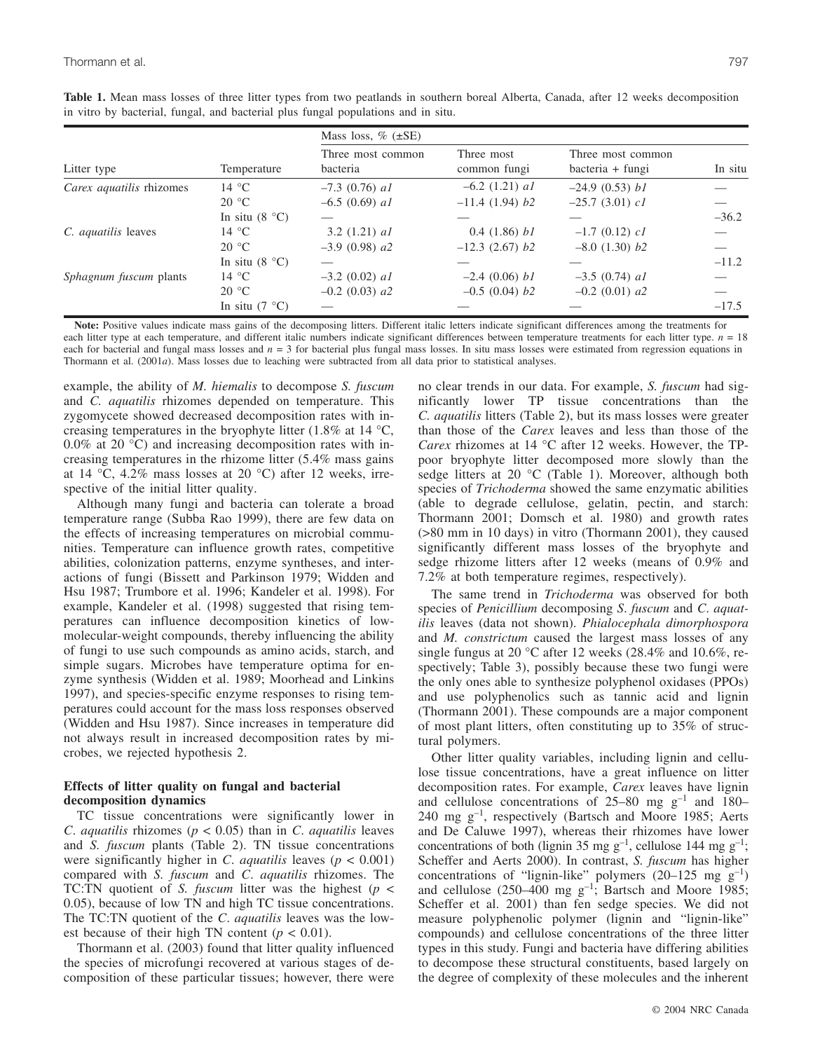|                               | Temperature      | Mass loss, $\%$ ( $\pm$ SE)   |                            |                                       |         |
|-------------------------------|------------------|-------------------------------|----------------------------|---------------------------------------|---------|
| Litter type                   |                  | Three most common<br>bacteria | Three most<br>common fungi | Three most common<br>bacteria + fungi | In situ |
| Carex aquatilis rhizomes      | 14 °C            | $-7.3$ (0.76) al              | $-6.2$ (1.21) <i>al</i>    | $-24.9(0.53) h1$                      |         |
|                               | $20^{\circ}$ C   | $-6.5$ (0.69) al              | $-11.4$ (1.94) $b2$        | $-25.7$ (3.01) cl                     |         |
|                               | In situ $(8 °C)$ |                               |                            |                                       | $-36.2$ |
| C. <i>aquatilis</i> leaves    | 14 °C            | 3.2 $(1.21)$ al               | 0.4(1.86) b1               | $-1.7$ (0.12) cl                      |         |
|                               | $20^{\circ}$ C   | $-3.9$ (0.98) $a2$            | $-12.3$ (2.67) b2          | $-8.0$ (1.30) $b2$                    |         |
|                               | In situ $(8 °C)$ |                               |                            |                                       | $-11.2$ |
| <i>Sphagnum fuscum</i> plants | 14 °C            | $-3.2$ (0.02) al              | $-2.4(0.06) b1$            | $-3.5$ (0.74) al                      |         |
|                               | $20^{\circ}$ C   | $-0.2$ (0.03) a2              | $-0.5$ (0.04) $b2$         | $-0.2$ (0.01) a2                      |         |
|                               | In situ $(7 °C)$ |                               |                            |                                       | $-17.5$ |

Table 1. Mean mass losses of three litter types from two peatlands in southern boreal Alberta, Canada, after 12 weeks decomposition in vitro by bacterial, fungal, and bacterial plus fungal populations and in situ.

**Note:** Positive values indicate mass gains of the decomposing litters. Different italic letters indicate significant differences among the treatments for each litter type at each temperature, and different italic numbers indicate significant differences between temperature treatments for each litter type.  $n = 18$ each for bacterial and fungal mass losses and  $n = 3$  for bacterial plus fungal mass losses. In situ mass losses were estimated from regression equations in Thormann et al. (2001*a*). Mass losses due to leaching were subtracted from all data prior to statistical analyses.

example, the ability of *M. hiemalis* to decompose *S. fuscum* and *C. aquatilis* rhizomes depended on temperature. This zygomycete showed decreased decomposition rates with increasing temperatures in the bryophyte litter (1.8% at 14  $\degree$ C, 0.0% at 20 °C) and increasing decomposition rates with increasing temperatures in the rhizome litter (5.4% mass gains at 14 °C, 4.2% mass losses at 20 °C) after 12 weeks, irrespective of the initial litter quality.

Although many fungi and bacteria can tolerate a broad temperature range (Subba Rao 1999), there are few data on the effects of increasing temperatures on microbial communities. Temperature can influence growth rates, competitive abilities, colonization patterns, enzyme syntheses, and interactions of fungi (Bissett and Parkinson 1979; Widden and Hsu 1987; Trumbore et al. 1996; Kandeler et al. 1998). For example, Kandeler et al. (1998) suggested that rising temperatures can influence decomposition kinetics of lowmolecular-weight compounds, thereby influencing the ability of fungi to use such compounds as amino acids, starch, and simple sugars. Microbes have temperature optima for enzyme synthesis (Widden et al. 1989; Moorhead and Linkins 1997), and species-specific enzyme responses to rising temperatures could account for the mass loss responses observed (Widden and Hsu 1987). Since increases in temperature did not always result in increased decomposition rates by microbes, we rejected hypothesis 2.

# **Effects of litter quality on fungal and bacterial decomposition dynamics**

TC tissue concentrations were significantly lower in *C*. *aquatilis* rhizomes ( $p < 0.05$ ) than in *C*. *aquatilis* leaves and *S. fuscum* plants (Table 2). TN tissue concentrations were significantly higher in *C*. *aquatilis* leaves (*p* < 0.001) compared with *S. fuscum* and *C*. *aquatilis* rhizomes. The TC:TN quotient of *S. fuscum* litter was the highest (*p* < 0.05), because of low TN and high TC tissue concentrations. The TC:TN quotient of the *C*. *aquatilis* leaves was the lowest because of their high TN content ( $p < 0.01$ ).

Thormann et al. (2003) found that litter quality influenced the species of microfungi recovered at various stages of decomposition of these particular tissues; however, there were no clear trends in our data. For example, *S. fuscum* had significantly lower TP tissue concentrations than the *C. aquatilis* litters (Table 2), but its mass losses were greater than those of the *Carex* leaves and less than those of the *Carex* rhizomes at 14 °C after 12 weeks. However, the TPpoor bryophyte litter decomposed more slowly than the sedge litters at 20 °C (Table 1). Moreover, although both species of *Trichoderma* showed the same enzymatic abilities (able to degrade cellulose, gelatin, pectin, and starch: Thormann 2001; Domsch et al. 1980) and growth rates (>80 mm in 10 days) in vitro (Thormann 2001), they caused significantly different mass losses of the bryophyte and sedge rhizome litters after 12 weeks (means of 0.9% and 7.2% at both temperature regimes, respectively).

The same trend in *Trichoderma* was observed for both species of *Penicillium* decomposing *S*. *fuscum* and *C*. *aquatilis* leaves (data not shown). *Phialocephala dimorphospora* and *M. constrictum* caused the largest mass losses of any single fungus at 20 °C after 12 weeks (28.4% and 10.6%, respectively; Table 3), possibly because these two fungi were the only ones able to synthesize polyphenol oxidases (PPOs) and use polyphenolics such as tannic acid and lignin (Thormann 2001). These compounds are a major component of most plant litters, often constituting up to 35% of structural polymers.

Other litter quality variables, including lignin and cellulose tissue concentrations, have a great influence on litter decomposition rates. For example, *Carex* leaves have lignin and cellulose concentrations of  $25-80$  mg  $g^{-1}$  and  $180-$ 240 mg g–1, respectively (Bartsch and Moore 1985; Aerts and De Caluwe 1997), whereas their rhizomes have lower concentrations of both (lignin 35 mg  $g^{-1}$ , cellulose 144 mg  $g^{-1}$ ; Scheffer and Aerts 2000). In contrast, *S. fuscum* has higher concentrations of "lignin-like" polymers  $(20-125 \text{ mg g}^{-1})$ and cellulose (250–400 mg  $g^{-1}$ ; Bartsch and Moore 1985; Scheffer et al. 2001) than fen sedge species. We did not measure polyphenolic polymer (lignin and "lignin-like" compounds) and cellulose concentrations of the three litter types in this study. Fungi and bacteria have differing abilities to decompose these structural constituents, based largely on the degree of complexity of these molecules and the inherent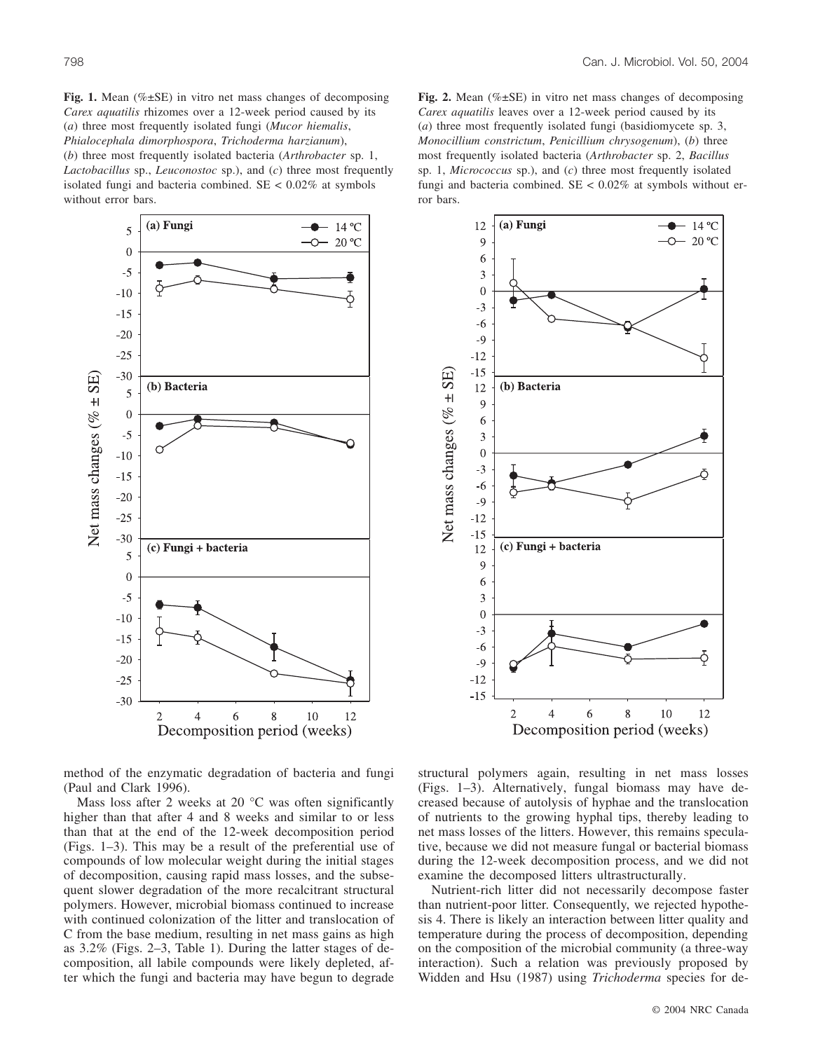Fig. 1. Mean (%±SE) in vitro net mass changes of decomposing *Carex aquatilis* rhizomes over a 12-week period caused by its (*a*) three most frequently isolated fungi (*Mucor hiemalis*, *Phialocephala dimorphospora*, *Trichoderma harzianum*), (*b*) three most frequently isolated bacteria (*Arthrobacter* sp. 1, *Lactobacillus* sp., *Leuconostoc* sp.), and (*c*) three most frequently isolated fungi and bacteria combined.  $SE < 0.02\%$  at symbols without error bars.



**Fig. 2.** Mean (%±SE) in vitro net mass changes of decomposing *Carex aquatilis* leaves over a 12-week period caused by its (*a*) three most frequently isolated fungi (basidiomycete sp. 3, *Monocillium constrictum*, *Penicillium chrysogenum*), (*b*) three most frequently isolated bacteria (*Arthrobacter* sp. 2, *Bacillus* sp. 1, *Micrococcus* sp.), and (*c*) three most frequently isolated fungi and bacteria combined.  $SE < 0.02\%$  at symbols without error bars.



method of the enzymatic degradation of bacteria and fungi (Paul and Clark 1996).

Mass loss after 2 weeks at 20 °C was often significantly higher than that after 4 and 8 weeks and similar to or less than that at the end of the 12-week decomposition period (Figs. 1–3). This may be a result of the preferential use of compounds of low molecular weight during the initial stages of decomposition, causing rapid mass losses, and the subsequent slower degradation of the more recalcitrant structural polymers. However, microbial biomass continued to increase with continued colonization of the litter and translocation of C from the base medium, resulting in net mass gains as high as 3.2% (Figs. 2–3, Table 1). During the latter stages of decomposition, all labile compounds were likely depleted, after which the fungi and bacteria may have begun to degrade structural polymers again, resulting in net mass losses (Figs. 1–3). Alternatively, fungal biomass may have decreased because of autolysis of hyphae and the translocation of nutrients to the growing hyphal tips, thereby leading to net mass losses of the litters. However, this remains speculative, because we did not measure fungal or bacterial biomass during the 12-week decomposition process, and we did not examine the decomposed litters ultrastructurally.

Nutrient-rich litter did not necessarily decompose faster than nutrient-poor litter. Consequently, we rejected hypothesis 4. There is likely an interaction between litter quality and temperature during the process of decomposition, depending on the composition of the microbial community (a three-way interaction). Such a relation was previously proposed by Widden and Hsu (1987) using *Trichoderma* species for de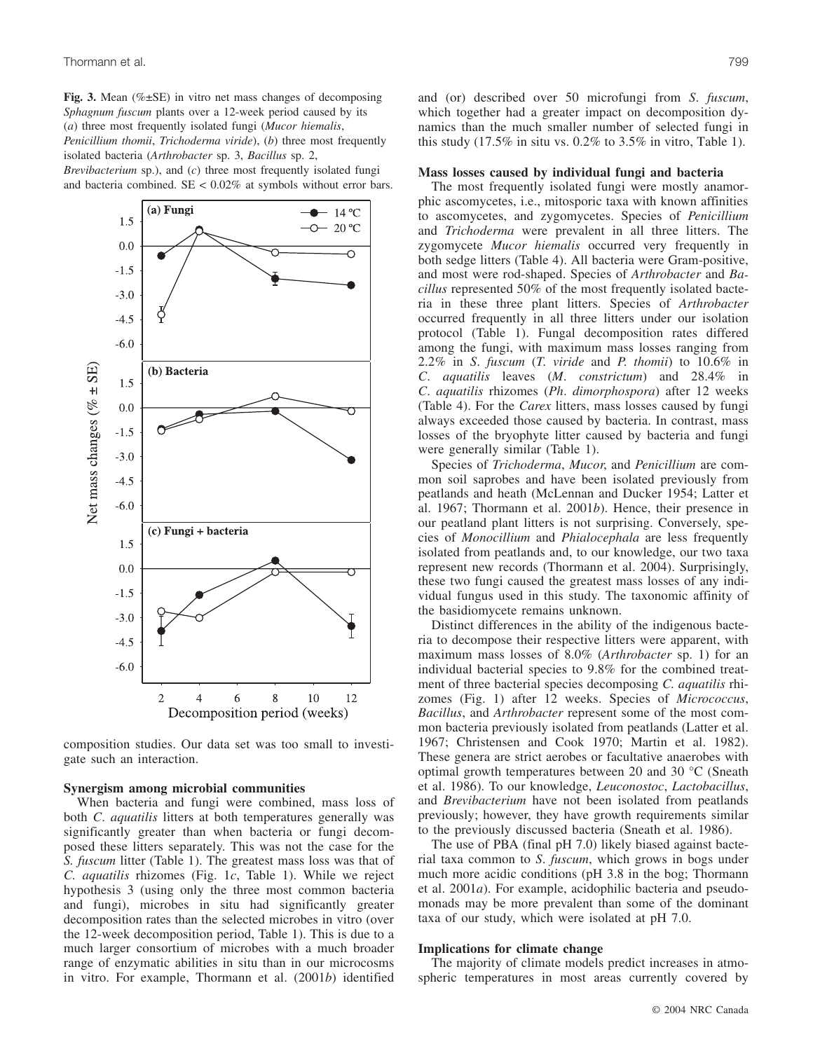**Fig. 3.** Mean (%±SE) in vitro net mass changes of decomposing *Sphagnum fuscum* plants over a 12-week period caused by its (*a*) three most frequently isolated fungi (*Mucor hiemalis*, *Penicillium thomii*, *Trichoderma viride*), (*b*) three most frequently isolated bacteria (*Arthrobacter* sp. 3, *Bacillus* sp. 2, *Brevibacterium* sp.), and (*c*) three most frequently isolated fungi and bacteria combined.  $SE < 0.02\%$  at symbols without error bars.



composition studies. Our data set was too small to investigate such an interaction.

#### **Synergism among microbial communities**

When bacteria and fungi were combined, mass loss of both *C*. *aquatilis* litters at both temperatures generally was significantly greater than when bacteria or fungi decomposed these litters separately. This was not the case for the *S. fuscum* litter (Table 1). The greatest mass loss was that of *C. aquatilis* rhizomes (Fig. 1*c*, Table 1). While we reject hypothesis 3 (using only the three most common bacteria and fungi), microbes in situ had significantly greater decomposition rates than the selected microbes in vitro (over the 12-week decomposition period, Table 1). This is due to a much larger consortium of microbes with a much broader range of enzymatic abilities in situ than in our microcosms in vitro. For example, Thormann et al. (2001*b*) identified and (or) described over 50 microfungi from *S*. *fuscum*, which together had a greater impact on decomposition dynamics than the much smaller number of selected fungi in this study  $(17.5\%$  in situ vs.  $0.2\%$  to  $3.5\%$  in vitro, Table 1).

#### **Mass losses caused by individual fungi and bacteria**

The most frequently isolated fungi were mostly anamorphic ascomycetes, i.e., mitosporic taxa with known affinities to ascomycetes, and zygomycetes. Species of *Penicillium* and *Trichoderma* were prevalent in all three litters. The zygomycete *Mucor hiemalis* occurred very frequently in both sedge litters (Table 4). All bacteria were Gram-positive, and most were rod-shaped. Species of *Arthrobacter* and *Bacillus* represented 50% of the most frequently isolated bacteria in these three plant litters. Species of *Arthrobacter* occurred frequently in all three litters under our isolation protocol (Table 1). Fungal decomposition rates differed among the fungi, with maximum mass losses ranging from 2.2% in *S*. *fuscum* (*T*. *viride* and *P*. *thomii*) to 10.6% in *C*. *aquatilis* leaves (*M*. *constrictum*) and 28.4% in *C*. *aquatilis* rhizomes (*Ph*. *dimorphospora*) after 12 weeks (Table 4). For the *Carex* litters, mass losses caused by fungi always exceeded those caused by bacteria. In contrast, mass losses of the bryophyte litter caused by bacteria and fungi were generally similar (Table 1).

Species of *Trichoderma*, *Mucor*, and *Penicillium* are common soil saprobes and have been isolated previously from peatlands and heath (McLennan and Ducker 1954; Latter et al. 1967; Thormann et al. 2001*b*). Hence, their presence in our peatland plant litters is not surprising. Conversely, species of *Monocillium* and *Phialocephala* are less frequently isolated from peatlands and, to our knowledge, our two taxa represent new records (Thormann et al. 2004). Surprisingly, these two fungi caused the greatest mass losses of any individual fungus used in this study. The taxonomic affinity of the basidiomycete remains unknown.

Distinct differences in the ability of the indigenous bacteria to decompose their respective litters were apparent, with maximum mass losses of 8.0% (*Arthrobacter* sp. 1) for an individual bacterial species to 9.8% for the combined treatment of three bacterial species decomposing *C. aquatilis* rhizomes (Fig. 1) after 12 weeks. Species of *Micrococcus*, *Bacillus*, and *Arthrobacter* represent some of the most common bacteria previously isolated from peatlands (Latter et al. 1967; Christensen and Cook 1970; Martin et al. 1982). These genera are strict aerobes or facultative anaerobes with optimal growth temperatures between 20 and 30 °C (Sneath et al. 1986). To our knowledge, *Leuconostoc*, *Lactobacillus*, and *Brevibacterium* have not been isolated from peatlands previously; however, they have growth requirements similar to the previously discussed bacteria (Sneath et al. 1986).

The use of PBA (final pH 7.0) likely biased against bacterial taxa common to *S*. *fuscum*, which grows in bogs under much more acidic conditions (pH 3.8 in the bog; Thormann et al. 2001*a*). For example, acidophilic bacteria and pseudomonads may be more prevalent than some of the dominant taxa of our study, which were isolated at pH 7.0.

## **Implications for climate change**

The majority of climate models predict increases in atmospheric temperatures in most areas currently covered by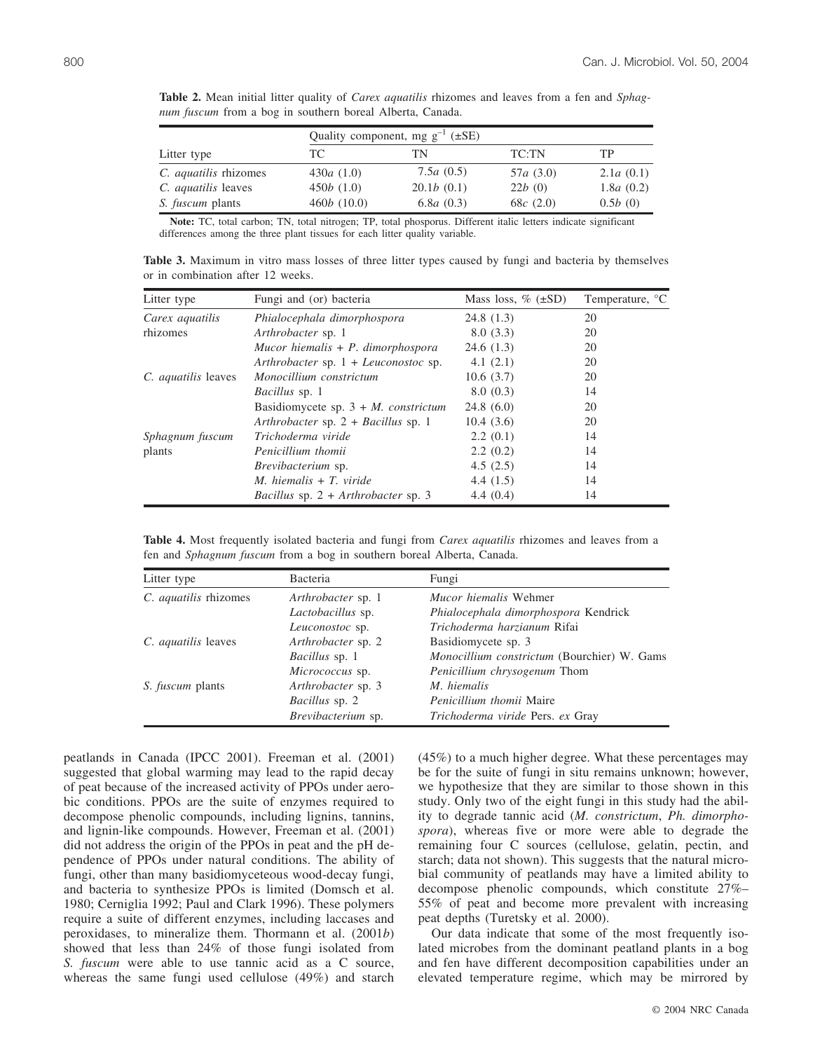|                              | Quality component, mg $g^{-1}$ ( $\pm$ SE) |                      |             |           |
|------------------------------|--------------------------------------------|----------------------|-------------|-----------|
| Litter type                  | TC.                                        | TN                   | TC:TN       | TP        |
| C. <i>aquatilis</i> rhizomes | 430 $a(1.0)$                               | 7.5 $a(0.5)$         | 57a(3.0)    | 2.1a(0.1) |
| C. <i>aquatilis</i> leaves   | 450b(1.0)                                  | 20.1b(0.1)           | 22b(0)      | 1.8a(0.2) |
| <i>S. fuscum</i> plants      | 460b(10.0)                                 | 6.8 <i>a</i> $(0.3)$ | 68 $c(2.0)$ | 0.5b(0)   |

**Table 2.** Mean initial litter quality of *Carex aquatilis* rhizomes and leaves from a fen and *Sphagnum fuscum* from a bog in southern boreal Alberta, Canada.

**Note:** TC, total carbon; TN, total nitrogen; TP, total phosporus. Different italic letters indicate significant differences among the three plant tissues for each litter quality variable.

**Table 3.** Maximum in vitro mass losses of three litter types caused by fungi and bacteria by themselves or in combination after 12 weeks.

| Litter type                | Fungi and (or) bacteria                        | Mass loss, $\%$ ( $\pm$ SD) | Temperature, <sup>o</sup> C |
|----------------------------|------------------------------------------------|-----------------------------|-----------------------------|
| Carex aquatilis            | Phialocephala dimorphospora                    | 24.8(1.3)                   | 20                          |
| rhizomes                   | Arthrobacter sp. 1                             | 8.0(3.3)                    | 20                          |
|                            | Mucor hiemalis $+ P$ . dimorphospora           | 24.6(1.3)                   | 20                          |
|                            | Arthrobacter sp. $1 + Leu$ conostoc sp.        | 4.1(2.1)                    | 20                          |
| C. <i>aquatilis</i> leaves | Monocillium constrictum                        | 10.6(3.7)                   | 20                          |
|                            | <i>Bacillus</i> sp. 1                          | 8.0(0.3)                    | 14                          |
|                            | Basidiomycete sp. $3 + M$ . <i>constrictum</i> | 24.8(6.0)                   | 20                          |
|                            | Arthrobacter sp. $2 + Bacillus$ sp. 1          | 10.4(3.6)                   | 20                          |
| Sphagnum fuscum            | Trichoderma viride                             | 2.2(0.1)                    | 14                          |
| plants                     | Penicillium thomii                             | 2.2(0.2)                    | 14                          |
|                            | <i>Brevibacterium</i> sp.                      | 4.5(2.5)                    | 14                          |
|                            | $M.$ hiemalis + T. viride                      | 4.4(1.5)                    | 14                          |
|                            | Bacillus sp. $2 + Arthrobacter$ sp. 3          | 4.4(0.4)                    | 14                          |

**Table 4.** Most frequently isolated bacteria and fungi from *Carex aquatilis* rhizomes and leaves from a fen and *Sphagnum fuscum* from a bog in southern boreal Alberta, Canada.

| Litter type                  | Bacteria              | Fungi                                       |  |
|------------------------------|-----------------------|---------------------------------------------|--|
| C. <i>aquatilis</i> rhizomes | Arthrobacter sp. 1    | <i>Mucor hiemalis</i> Wehmer                |  |
|                              | Lactobacillus sp.     | Phialocephala dimorphospora Kendrick        |  |
|                              | Leuconostoc sp.       | Trichoderma harzianum Rifai                 |  |
| C. <i>aquatilis</i> leaves   | Arthrobacter sp. 2    | Basidiomycete sp. 3                         |  |
|                              | <i>Bacillus</i> sp. 1 | Monocillium constrictum (Bourchier) W. Gams |  |
|                              | Micrococcus sp.       | Penicillium chrysogenum Thom                |  |
| <i>S. fuscum</i> plants      | Arthrobacter sp. 3    | M. hiemalis                                 |  |
|                              | <i>Bacillus</i> sp. 2 | <i>Penicillium thomii</i> Maire             |  |
|                              | Brevibacterium sp.    | Trichoderma viride Pers. ex Gray            |  |

peatlands in Canada (IPCC 2001). Freeman et al. (2001) suggested that global warming may lead to the rapid decay of peat because of the increased activity of PPOs under aerobic conditions. PPOs are the suite of enzymes required to decompose phenolic compounds, including lignins, tannins, and lignin-like compounds. However, Freeman et al. (2001) did not address the origin of the PPOs in peat and the pH dependence of PPOs under natural conditions. The ability of fungi, other than many basidiomyceteous wood-decay fungi, and bacteria to synthesize PPOs is limited (Domsch et al. 1980; Cerniglia 1992; Paul and Clark 1996). These polymers require a suite of different enzymes, including laccases and peroxidases, to mineralize them. Thormann et al. (2001*b*) showed that less than 24% of those fungi isolated from *S. fuscum* were able to use tannic acid as a C source, whereas the same fungi used cellulose (49%) and starch (45%) to a much higher degree. What these percentages may be for the suite of fungi in situ remains unknown; however, we hypothesize that they are similar to those shown in this study. Only two of the eight fungi in this study had the ability to degrade tannic acid (*M. constrictum*, *Ph. dimorphospora*), whereas five or more were able to degrade the remaining four C sources (cellulose, gelatin, pectin, and starch; data not shown). This suggests that the natural microbial community of peatlands may have a limited ability to decompose phenolic compounds, which constitute 27%– 55% of peat and become more prevalent with increasing peat depths (Turetsky et al. 2000).

Our data indicate that some of the most frequently isolated microbes from the dominant peatland plants in a bog and fen have different decomposition capabilities under an elevated temperature regime, which may be mirrored by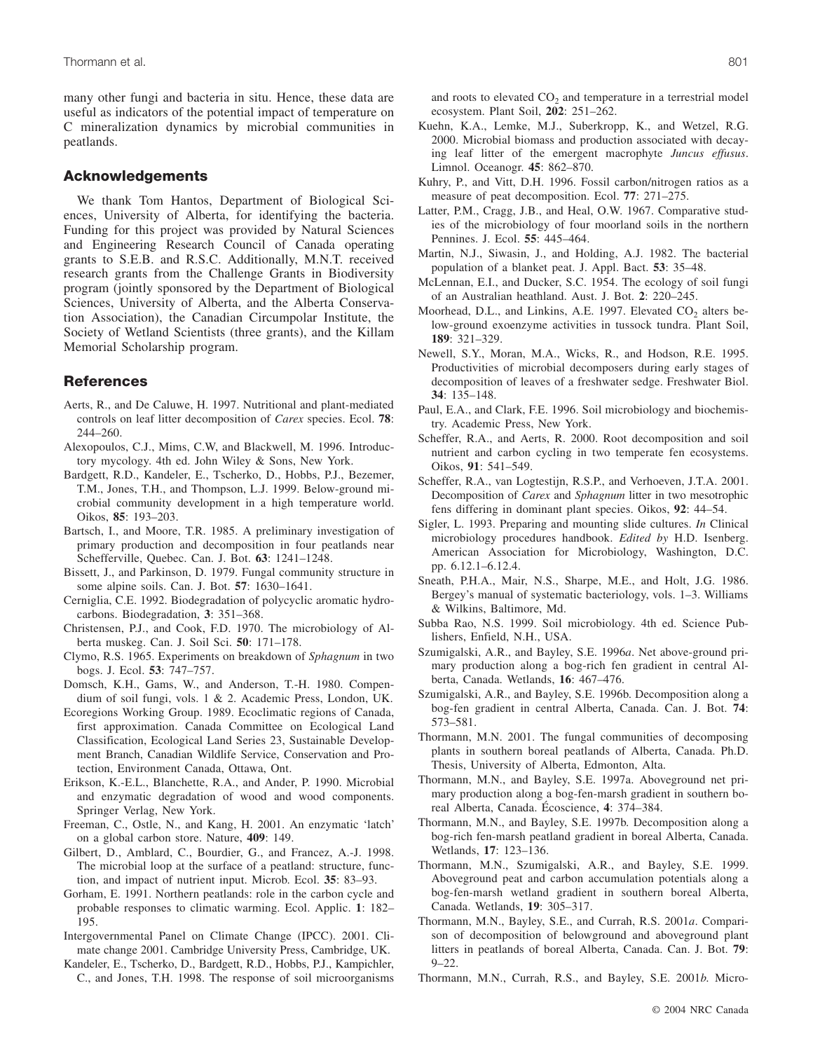many other fungi and bacteria in situ. Hence, these data are useful as indicators of the potential impact of temperature on C mineralization dynamics by microbial communities in peatlands.

# **Acknowledgements**

We thank Tom Hantos, Department of Biological Sciences, University of Alberta, for identifying the bacteria. Funding for this project was provided by Natural Sciences and Engineering Research Council of Canada operating grants to S.E.B. and R.S.C. Additionally, M.N.T. received research grants from the Challenge Grants in Biodiversity program (jointly sponsored by the Department of Biological Sciences, University of Alberta, and the Alberta Conservation Association), the Canadian Circumpolar Institute, the Society of Wetland Scientists (three grants), and the Killam Memorial Scholarship program.

# **References**

- Aerts, R., and De Caluwe, H. 1997. Nutritional and plant-mediated controls on leaf litter decomposition of *Carex* species. Ecol. **78**: 244–260.
- Alexopoulos, C.J., Mims, C.W, and Blackwell, M. 1996. Introductory mycology. 4th ed. John Wiley & Sons, New York.
- Bardgett, R.D., Kandeler, E., Tscherko, D., Hobbs, P.J., Bezemer, T.M., Jones, T.H., and Thompson, L.J. 1999. Below-ground microbial community development in a high temperature world. Oikos, **85**: 193–203.
- Bartsch, I., and Moore, T.R. 1985. A preliminary investigation of primary production and decomposition in four peatlands near Schefferville, Quebec. Can. J. Bot. **63**: 1241–1248.
- Bissett, J., and Parkinson, D. 1979. Fungal community structure in some alpine soils. Can. J. Bot. **57**: 1630–1641.
- Cerniglia, C.E. 1992. Biodegradation of polycyclic aromatic hydrocarbons. Biodegradation, **3**: 351–368.
- Christensen, P.J., and Cook, F.D. 1970. The microbiology of Alberta muskeg. Can. J. Soil Sci. **50**: 171–178.
- Clymo, R.S. 1965. Experiments on breakdown of *Sphagnum* in two bogs. J. Ecol. **53**: 747–757.
- Domsch, K.H., Gams, W., and Anderson, T.-H. 1980. Compendium of soil fungi, vols. 1 & 2. Academic Press, London, UK.
- Ecoregions Working Group. 1989. Ecoclimatic regions of Canada, first approximation. Canada Committee on Ecological Land Classification, Ecological Land Series 23, Sustainable Development Branch, Canadian Wildlife Service, Conservation and Protection, Environment Canada, Ottawa, Ont.
- Erikson, K.-E.L., Blanchette, R.A., and Ander, P. 1990. Microbial and enzymatic degradation of wood and wood components. Springer Verlag, New York.
- Freeman, C., Ostle, N., and Kang, H. 2001. An enzymatic 'latch' on a global carbon store. Nature, **409**: 149.
- Gilbert, D., Amblard, C., Bourdier, G., and Francez, A.-J. 1998. The microbial loop at the surface of a peatland: structure, function, and impact of nutrient input. Microb. Ecol. **35**: 83–93.
- Gorham, E. 1991. Northern peatlands: role in the carbon cycle and probable responses to climatic warming. Ecol. Applic. **1**: 182– 195.
- Intergovernmental Panel on Climate Change (IPCC). 2001. Climate change 2001. Cambridge University Press, Cambridge, UK.
- Kandeler, E., Tscherko, D., Bardgett, R.D., Hobbs, P.J., Kampichler, C., and Jones, T.H. 1998. The response of soil microorganisms

and roots to elevated  $CO<sub>2</sub>$  and temperature in a terrestrial model ecosystem. Plant Soil, **202**: 251–262.

- Kuehn, K.A., Lemke, M.J., Suberkropp, K., and Wetzel, R.G. 2000. Microbial biomass and production associated with decaying leaf litter of the emergent macrophyte *Juncus effusus*. Limnol. Oceanogr. **45**: 862–870.
- Kuhry, P., and Vitt, D.H. 1996. Fossil carbon/nitrogen ratios as a measure of peat decomposition. Ecol. **77**: 271–275.
- Latter, P.M., Cragg, J.B., and Heal, O.W. 1967. Comparative studies of the microbiology of four moorland soils in the northern Pennines. J. Ecol. **55**: 445–464.
- Martin, N.J., Siwasin, J., and Holding, A.J. 1982. The bacterial population of a blanket peat. J. Appl. Bact. **53**: 35–48.
- McLennan, E.I., and Ducker, S.C. 1954. The ecology of soil fungi of an Australian heathland. Aust. J. Bot. **2**: 220–245.
- Moorhead, D.L., and Linkins, A.E. 1997. Elevated  $CO<sub>2</sub>$  alters below-ground exoenzyme activities in tussock tundra. Plant Soil, **189**: 321–329.
- Newell, S.Y., Moran, M.A., Wicks, R., and Hodson, R.E. 1995. Productivities of microbial decomposers during early stages of decomposition of leaves of a freshwater sedge. Freshwater Biol. **34**: 135–148.
- Paul, E.A., and Clark, F.E. 1996. Soil microbiology and biochemistry. Academic Press, New York.
- Scheffer, R.A., and Aerts, R. 2000. Root decomposition and soil nutrient and carbon cycling in two temperate fen ecosystems. Oikos, **91**: 541–549.
- Scheffer, R.A., van Logtestijn, R.S.P., and Verhoeven, J.T.A. 2001. Decomposition of *Carex* and *Sphagnum* litter in two mesotrophic fens differing in dominant plant species. Oikos, **92**: 44–54.
- Sigler, L. 1993. Preparing and mounting slide cultures. *In* Clinical microbiology procedures handbook. *Edited by* H.D. Isenberg. American Association for Microbiology, Washington, D.C. pp. 6.12.1–6.12.4.
- Sneath, P.H.A., Mair, N.S., Sharpe, M.E., and Holt, J.G. 1986. Bergey's manual of systematic bacteriology, vols. 1–3. Williams & Wilkins, Baltimore, Md.
- Subba Rao, N.S. 1999. Soil microbiology. 4th ed. Science Publishers, Enfield, N.H., USA.
- Szumigalski, A.R., and Bayley, S.E. 1996*a*. Net above-ground primary production along a bog-rich fen gradient in central Alberta, Canada. Wetlands, **16**: 467–476.
- Szumigalski, A.R., and Bayley, S.E. 1996b. Decomposition along a bog-fen gradient in central Alberta, Canada. Can. J. Bot. **74**: 573–581.
- Thormann, M.N. 2001. The fungal communities of decomposing plants in southern boreal peatlands of Alberta, Canada. Ph.D. Thesis, University of Alberta, Edmonton, Alta.
- Thormann, M.N., and Bayley, S.E. 1997a. Aboveground net primary production along a bog-fen-marsh gradient in southern boreal Alberta, Canada. Écoscience, **4**: 374–384.
- Thormann, M.N., and Bayley, S.E. 1997b. Decomposition along a bog-rich fen-marsh peatland gradient in boreal Alberta, Canada. Wetlands, **17**: 123–136.
- Thormann, M.N., Szumigalski, A.R., and Bayley, S.E. 1999. Aboveground peat and carbon accumulation potentials along a bog-fen-marsh wetland gradient in southern boreal Alberta, Canada. Wetlands, **19**: 305–317.
- Thormann, M.N., Bayley, S.E., and Currah, R.S. 2001*a*. Comparison of decomposition of belowground and aboveground plant litters in peatlands of boreal Alberta, Canada. Can. J. Bot. **79**: 9–22.
- Thormann, M.N., Currah, R.S., and Bayley, S.E. 2001*b*. Micro-